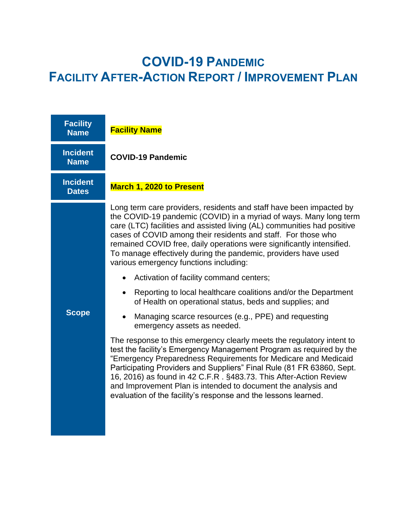# **COVID-19 PANDEMIC FACILITY AFTER-ACTION REPORT / IMPROVEMENT PLAN**

| <b>Facility</b><br><b>Name</b>  | <b>Facility Name</b>                                                                                                                                                                                                                                                                                                                                                                                                                                                                            |  |
|---------------------------------|-------------------------------------------------------------------------------------------------------------------------------------------------------------------------------------------------------------------------------------------------------------------------------------------------------------------------------------------------------------------------------------------------------------------------------------------------------------------------------------------------|--|
| <b>Incident</b><br><b>Name</b>  | <b>COVID-19 Pandemic</b>                                                                                                                                                                                                                                                                                                                                                                                                                                                                        |  |
| <b>Incident</b><br><b>Dates</b> | March 1, 2020 to Present                                                                                                                                                                                                                                                                                                                                                                                                                                                                        |  |
|                                 | Long term care providers, residents and staff have been impacted by<br>the COVID-19 pandemic (COVID) in a myriad of ways. Many long term<br>care (LTC) facilities and assisted living (AL) communities had positive<br>cases of COVID among their residents and staff. For those who<br>remained COVID free, daily operations were significantly intensified.<br>To manage effectively during the pandemic, providers have used<br>various emergency functions including:                       |  |
|                                 | Activation of facility command centers;                                                                                                                                                                                                                                                                                                                                                                                                                                                         |  |
|                                 | Reporting to local healthcare coalitions and/or the Department<br>$\bullet$<br>of Health on operational status, beds and supplies; and                                                                                                                                                                                                                                                                                                                                                          |  |
| <b>Scope</b>                    | Managing scarce resources (e.g., PPE) and requesting<br>$\bullet$<br>emergency assets as needed.                                                                                                                                                                                                                                                                                                                                                                                                |  |
|                                 | The response to this emergency clearly meets the regulatory intent to<br>test the facility's Emergency Management Program as required by the<br>"Emergency Preparedness Requirements for Medicare and Medicaid<br>Participating Providers and Suppliers" Final Rule (81 FR 63860, Sept.<br>16, 2016) as found in 42 C.F.R. §483.73. This After-Action Review<br>and Improvement Plan is intended to document the analysis and<br>evaluation of the facility's response and the lessons learned. |  |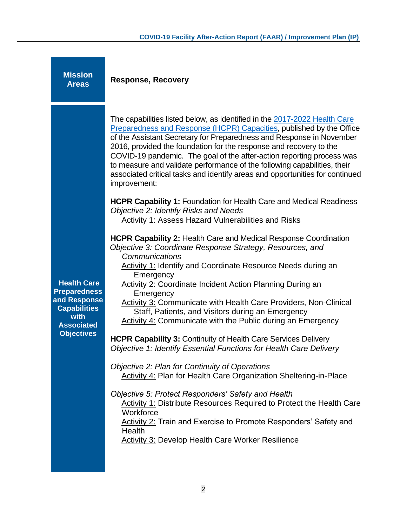| <b>Mission</b><br><b>Areas</b>                                                                                                     | <b>Response, Recovery</b>                                                                                                                                                                                                                                                                                                                                                                                                                                                                                                                                                                                                                                                                                                                                                                                                                                                                                                                                                                                                                                                                                                                                                                                                                                                                                                                                                                                                                                                                                                                                                                                                                                                                                                                                                                                                          |
|------------------------------------------------------------------------------------------------------------------------------------|------------------------------------------------------------------------------------------------------------------------------------------------------------------------------------------------------------------------------------------------------------------------------------------------------------------------------------------------------------------------------------------------------------------------------------------------------------------------------------------------------------------------------------------------------------------------------------------------------------------------------------------------------------------------------------------------------------------------------------------------------------------------------------------------------------------------------------------------------------------------------------------------------------------------------------------------------------------------------------------------------------------------------------------------------------------------------------------------------------------------------------------------------------------------------------------------------------------------------------------------------------------------------------------------------------------------------------------------------------------------------------------------------------------------------------------------------------------------------------------------------------------------------------------------------------------------------------------------------------------------------------------------------------------------------------------------------------------------------------------------------------------------------------------------------------------------------------|
| <b>Health Care</b><br><b>Preparedness</b><br>and Response<br><b>Capabilities</b><br>with<br><b>Associated</b><br><b>Objectives</b> | The capabilities listed below, as identified in the 2017-2022 Health Care<br>Preparedness and Response (HCPR) Capacities, published by the Office<br>of the Assistant Secretary for Preparedness and Response in November<br>2016, provided the foundation for the response and recovery to the<br>COVID-19 pandemic. The goal of the after-action reporting process was<br>to measure and validate performance of the following capabilities, their<br>associated critical tasks and identify areas and opportunities for continued<br>improvement:<br><b>HCPR Capability 1: Foundation for Health Care and Medical Readiness</b><br>Objective 2: Identify Risks and Needs<br><b>Activity 1: Assess Hazard Vulnerabilities and Risks</b><br><b>HCPR Capability 2: Health Care and Medical Response Coordination</b><br>Objective 3: Coordinate Response Strategy, Resources, and<br>Communications<br>Activity 1: Identify and Coordinate Resource Needs during an<br>Emergency<br><b>Activity 2: Coordinate Incident Action Planning During an</b><br>Emergency<br>Activity 3: Communicate with Health Care Providers, Non-Clinical<br>Staff, Patients, and Visitors during an Emergency<br><b>Activity 4: Communicate with the Public during an Emergency</b><br><b>HCPR Capability 3: Continuity of Health Care Services Delivery</b><br>Objective 1: Identify Essential Functions for Health Care Delivery<br>Objective 2: Plan for Continuity of Operations<br><b>Activity 4: Plan for Health Care Organization Sheltering-in-Place</b><br>Objective 5: Protect Responders' Safety and Health<br>Activity 1: Distribute Resources Required to Protect the Health Care<br>Workforce<br>Activity 2: Train and Exercise to Promote Responders' Safety and<br>Health<br><b>Activity 3: Develop Health Care Worker Resilience</b> |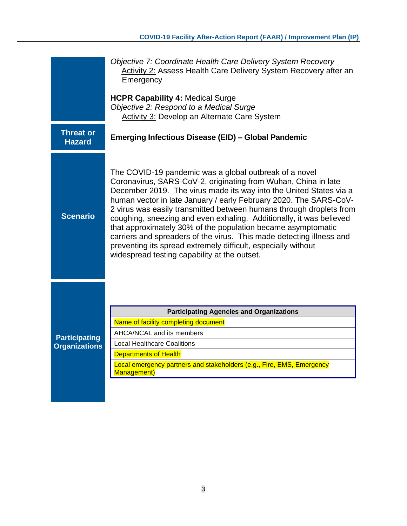| Objective 7: Coordinate Health Care Delivery System Recovery<br>Activity 2: Assess Health Care Delivery System Recovery after an<br>Emergency |                                                                                                                                                                                                                                                                                                                                                                                                                                                                                                                                                                                                                                                                            |  |
|-----------------------------------------------------------------------------------------------------------------------------------------------|----------------------------------------------------------------------------------------------------------------------------------------------------------------------------------------------------------------------------------------------------------------------------------------------------------------------------------------------------------------------------------------------------------------------------------------------------------------------------------------------------------------------------------------------------------------------------------------------------------------------------------------------------------------------------|--|
|                                                                                                                                               | <b>HCPR Capability 4: Medical Surge</b><br>Objective 2: Respond to a Medical Surge<br><b>Activity 3: Develop an Alternate Care System</b>                                                                                                                                                                                                                                                                                                                                                                                                                                                                                                                                  |  |
| <b>Threat or</b><br><b>Hazard</b>                                                                                                             | <b>Emerging Infectious Disease (EID) - Global Pandemic</b>                                                                                                                                                                                                                                                                                                                                                                                                                                                                                                                                                                                                                 |  |
| <b>Scenario</b>                                                                                                                               | The COVID-19 pandemic was a global outbreak of a novel<br>Coronavirus, SARS-CoV-2, originating from Wuhan, China in late<br>December 2019. The virus made its way into the United States via a<br>human vector in late January / early February 2020. The SARS-CoV-<br>2 virus was easily transmitted between humans through droplets from<br>coughing, sneezing and even exhaling. Additionally, it was believed<br>that approximately 30% of the population became asymptomatic<br>carriers and spreaders of the virus. This made detecting illness and<br>preventing its spread extremely difficult, especially without<br>widespread testing capability at the outset. |  |
| <b>Participating</b><br><b>Organizations</b>                                                                                                  | <b>Participating Agencies and Organizations</b><br>Name of facility completing document<br>AHCA/NCAL and its members<br><b>Local Healthcare Coalitions</b><br><b>Departments of Health</b><br>Local emergency partners and stakeholders (e.g., Fire, EMS, Emergency<br>Management)                                                                                                                                                                                                                                                                                                                                                                                         |  |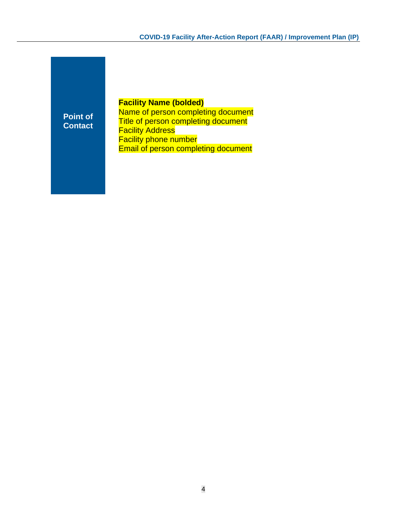**Point of Contact**

#### **Facility Name (bolded)**

Name of person completing document **Title of person completing document Facility Address Facility phone number** Email of person completing document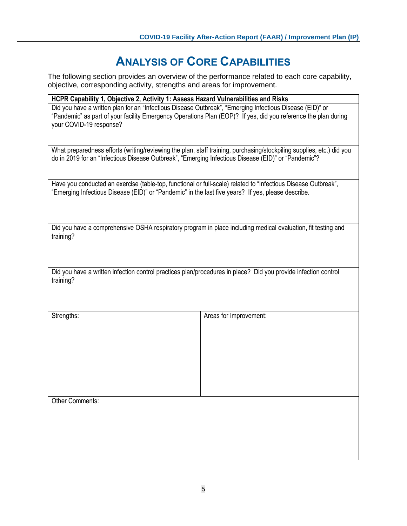### **ANALYSIS OF CORE CAPABILITIES**

The following section provides an overview of the performance related to each core capability, objective, corresponding activity, strengths and areas for improvement.

| HCPR Capability 1, Objective 2, Activity 1: Assess Hazard Vulnerabilities and Risks                                                                                                                                                                   |                                                                                                                       |  |
|-------------------------------------------------------------------------------------------------------------------------------------------------------------------------------------------------------------------------------------------------------|-----------------------------------------------------------------------------------------------------------------------|--|
| Did you have a written plan for an "Infectious Disease Outbreak", "Emerging Infectious Disease (EID)" or<br>"Pandemic" as part of your facility Emergency Operations Plan (EOP)? If yes, did you reference the plan during<br>your COVID-19 response? |                                                                                                                       |  |
| do in 2019 for an "Infectious Disease Outbreak", "Emerging Infectious Disease (EID)" or "Pandemic"?                                                                                                                                                   | What preparedness efforts (writing/reviewing the plan, staff training, purchasing/stockpiling supplies, etc.) did you |  |
| Have you conducted an exercise (table-top, functional or full-scale) related to "Infectious Disease Outbreak",<br>"Emerging Infectious Disease (EID)" or "Pandemic" in the last five years? If yes, please describe.                                  |                                                                                                                       |  |
| Did you have a comprehensive OSHA respiratory program in place including medical evaluation, fit testing and<br>training?                                                                                                                             |                                                                                                                       |  |
| Did you have a written infection control practices plan/procedures in place? Did you provide infection control<br>training?                                                                                                                           |                                                                                                                       |  |
| Strengths:                                                                                                                                                                                                                                            | Areas for Improvement:                                                                                                |  |
| <b>Other Comments:</b>                                                                                                                                                                                                                                |                                                                                                                       |  |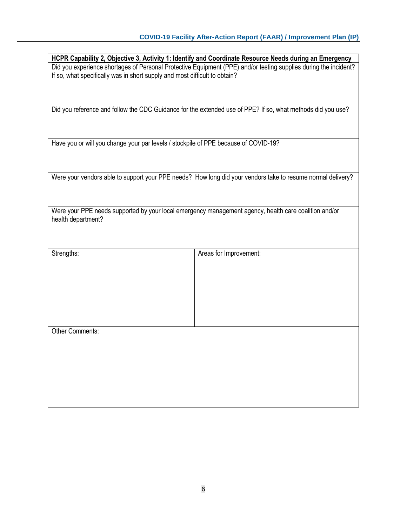|                                                                                     | <b>HCPR Capability 2, Objective 3, Activity 1: Identify and Coordinate Resource Needs during an Emergency</b>    |
|-------------------------------------------------------------------------------------|------------------------------------------------------------------------------------------------------------------|
|                                                                                     | Did you experience shortages of Personal Protective Equipment (PPE) and/or testing supplies during the incident? |
| If so, what specifically was in short supply and most difficult to obtain?          |                                                                                                                  |
|                                                                                     |                                                                                                                  |
|                                                                                     |                                                                                                                  |
|                                                                                     |                                                                                                                  |
|                                                                                     | Did you reference and follow the CDC Guidance for the extended use of PPE? If so, what methods did you use?      |
|                                                                                     |                                                                                                                  |
|                                                                                     |                                                                                                                  |
|                                                                                     |                                                                                                                  |
|                                                                                     |                                                                                                                  |
| Have you or will you change your par levels / stockpile of PPE because of COVID-19? |                                                                                                                  |
|                                                                                     |                                                                                                                  |
|                                                                                     |                                                                                                                  |
|                                                                                     |                                                                                                                  |
|                                                                                     | Were your vendors able to support your PPE needs? How long did your vendors take to resume normal delivery?      |
|                                                                                     |                                                                                                                  |
|                                                                                     |                                                                                                                  |
|                                                                                     |                                                                                                                  |
|                                                                                     |                                                                                                                  |
|                                                                                     | Were your PPE needs supported by your local emergency management agency, health care coalition and/or            |
| health department?                                                                  |                                                                                                                  |
|                                                                                     |                                                                                                                  |
|                                                                                     |                                                                                                                  |
|                                                                                     |                                                                                                                  |
| Strengths:                                                                          | Areas for Improvement:                                                                                           |
|                                                                                     |                                                                                                                  |
|                                                                                     |                                                                                                                  |
|                                                                                     |                                                                                                                  |
|                                                                                     |                                                                                                                  |
|                                                                                     |                                                                                                                  |
|                                                                                     |                                                                                                                  |
|                                                                                     |                                                                                                                  |
|                                                                                     |                                                                                                                  |
|                                                                                     |                                                                                                                  |
|                                                                                     |                                                                                                                  |
|                                                                                     |                                                                                                                  |
| Other Comments:                                                                     |                                                                                                                  |
|                                                                                     |                                                                                                                  |
|                                                                                     |                                                                                                                  |
|                                                                                     |                                                                                                                  |
|                                                                                     |                                                                                                                  |
|                                                                                     |                                                                                                                  |
|                                                                                     |                                                                                                                  |
|                                                                                     |                                                                                                                  |
|                                                                                     |                                                                                                                  |
|                                                                                     |                                                                                                                  |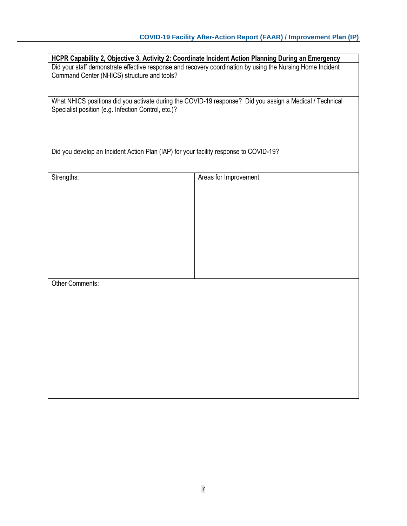| HCPR Capability 2, Objective 3, Activity 2: Coordinate Incident Action Planning During an Emergency                                                             |                                                                                                            |
|-----------------------------------------------------------------------------------------------------------------------------------------------------------------|------------------------------------------------------------------------------------------------------------|
|                                                                                                                                                                 | Did your staff demonstrate effective response and recovery coordination by using the Nursing Home Incident |
| Command Center (NHICS) structure and tools?                                                                                                                     |                                                                                                            |
|                                                                                                                                                                 |                                                                                                            |
| What NHICS positions did you activate during the COVID-19 response? Did you assign a Medical / Technical<br>Specialist position (e.g. Infection Control, etc.)? |                                                                                                            |
| Did you develop an Incident Action Plan (IAP) for your facility response to COVID-19?                                                                           |                                                                                                            |
|                                                                                                                                                                 |                                                                                                            |
|                                                                                                                                                                 |                                                                                                            |
| Strengths:                                                                                                                                                      | Areas for Improvement:                                                                                     |
|                                                                                                                                                                 |                                                                                                            |
|                                                                                                                                                                 |                                                                                                            |
|                                                                                                                                                                 |                                                                                                            |
|                                                                                                                                                                 |                                                                                                            |
|                                                                                                                                                                 |                                                                                                            |
|                                                                                                                                                                 |                                                                                                            |
|                                                                                                                                                                 |                                                                                                            |
|                                                                                                                                                                 |                                                                                                            |
|                                                                                                                                                                 |                                                                                                            |
| Other Comments:                                                                                                                                                 |                                                                                                            |
|                                                                                                                                                                 |                                                                                                            |
|                                                                                                                                                                 |                                                                                                            |
|                                                                                                                                                                 |                                                                                                            |
|                                                                                                                                                                 |                                                                                                            |
|                                                                                                                                                                 |                                                                                                            |
|                                                                                                                                                                 |                                                                                                            |
|                                                                                                                                                                 |                                                                                                            |
|                                                                                                                                                                 |                                                                                                            |
|                                                                                                                                                                 |                                                                                                            |
|                                                                                                                                                                 |                                                                                                            |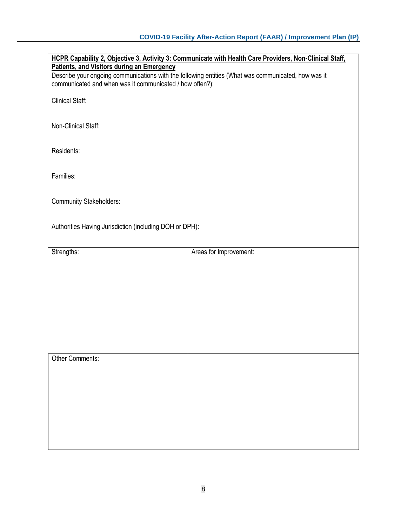| HCPR Capability 2, Objective 3, Activity 3: Communicate with Health Care Providers, Non-Clinical Staff,<br>Patients, and Visitors during an Emergency           |                        |  |
|-----------------------------------------------------------------------------------------------------------------------------------------------------------------|------------------------|--|
| Describe your ongoing communications with the following entities (What was communicated, how was it<br>communicated and when was it communicated / how often?): |                        |  |
| <b>Clinical Staff:</b>                                                                                                                                          |                        |  |
| Non-Clinical Staff:                                                                                                                                             |                        |  |
| Residents:                                                                                                                                                      |                        |  |
| Families:                                                                                                                                                       |                        |  |
| <b>Community Stakeholders:</b>                                                                                                                                  |                        |  |
| Authorities Having Jurisdiction (including DOH or DPH):                                                                                                         |                        |  |
| Strengths:                                                                                                                                                      | Areas for Improvement: |  |
|                                                                                                                                                                 |                        |  |
|                                                                                                                                                                 |                        |  |
|                                                                                                                                                                 |                        |  |
|                                                                                                                                                                 |                        |  |
|                                                                                                                                                                 |                        |  |
| Other Comments:                                                                                                                                                 |                        |  |
|                                                                                                                                                                 |                        |  |
|                                                                                                                                                                 |                        |  |
|                                                                                                                                                                 |                        |  |
|                                                                                                                                                                 |                        |  |
|                                                                                                                                                                 |                        |  |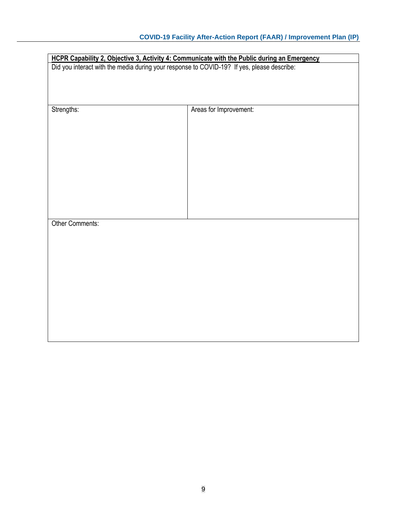| HCPR Capability 2, Objective 3, Activity 4: Communicate with the Public during an Emergency<br>Did you interact with the media during your response to COVID-19? If yes, please describe: |                        |
|-------------------------------------------------------------------------------------------------------------------------------------------------------------------------------------------|------------------------|
| Strengths:                                                                                                                                                                                | Areas for Improvement: |
|                                                                                                                                                                                           |                        |
|                                                                                                                                                                                           |                        |
|                                                                                                                                                                                           |                        |
| Other Comments:                                                                                                                                                                           |                        |
|                                                                                                                                                                                           |                        |
|                                                                                                                                                                                           |                        |
|                                                                                                                                                                                           |                        |
|                                                                                                                                                                                           |                        |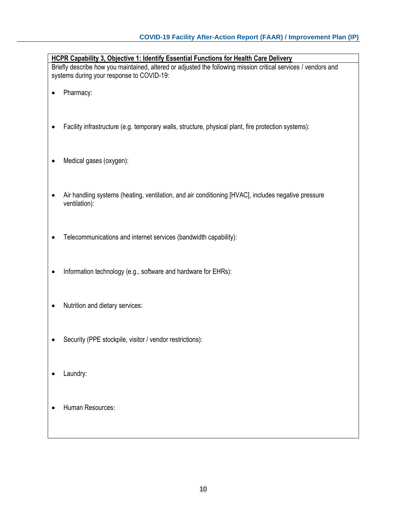|                                                                                                                                                             | <b>HCPR Capability 3, Objective 1: Identify Essential Functions for Health Care Delivery</b>        |  |  |
|-------------------------------------------------------------------------------------------------------------------------------------------------------------|-----------------------------------------------------------------------------------------------------|--|--|
| Briefly describe how you maintained, altered or adjusted the following mission critical services / vendors and<br>systems during your response to COVID-19: |                                                                                                     |  |  |
|                                                                                                                                                             | Pharmacy:                                                                                           |  |  |
|                                                                                                                                                             |                                                                                                     |  |  |
|                                                                                                                                                             | Facility infrastructure (e.g. temporary walls, structure, physical plant, fire protection systems): |  |  |
|                                                                                                                                                             |                                                                                                     |  |  |
|                                                                                                                                                             | Medical gases (oxygen):                                                                             |  |  |
|                                                                                                                                                             |                                                                                                     |  |  |
|                                                                                                                                                             | Air handling systems (heating, ventilation, and air conditioning [HVAC], includes negative pressure |  |  |
|                                                                                                                                                             | ventilation):                                                                                       |  |  |
|                                                                                                                                                             |                                                                                                     |  |  |
|                                                                                                                                                             | Telecommunications and internet services (bandwidth capability):                                    |  |  |
|                                                                                                                                                             |                                                                                                     |  |  |
|                                                                                                                                                             | Information technology (e.g., software and hardware for EHRs):                                      |  |  |
|                                                                                                                                                             |                                                                                                     |  |  |
|                                                                                                                                                             | Nutrition and dietary services:                                                                     |  |  |
|                                                                                                                                                             |                                                                                                     |  |  |
|                                                                                                                                                             | Security (PPE stockpile, visitor / vendor restrictions):                                            |  |  |
|                                                                                                                                                             |                                                                                                     |  |  |
|                                                                                                                                                             | Laundry:                                                                                            |  |  |

- 
- Human Resources: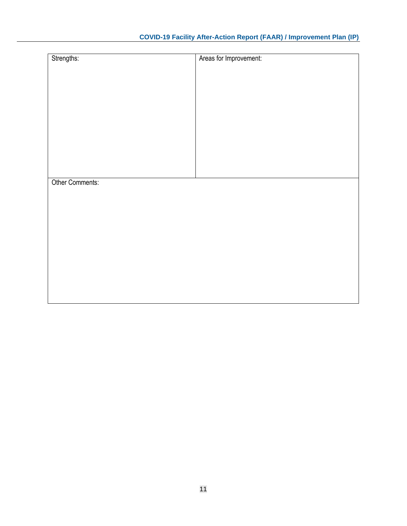#### **COVID-19 Facility After-Action Report (FAAR) / Improvement Plan (IP)**

| Strengths:      | Areas for Improvement: |
|-----------------|------------------------|
|                 |                        |
|                 |                        |
|                 |                        |
|                 |                        |
|                 |                        |
|                 |                        |
|                 |                        |
|                 |                        |
|                 |                        |
|                 |                        |
| Other Comments: |                        |
|                 |                        |
|                 |                        |
|                 |                        |
|                 |                        |
|                 |                        |
|                 |                        |
|                 |                        |
|                 |                        |
|                 |                        |
|                 |                        |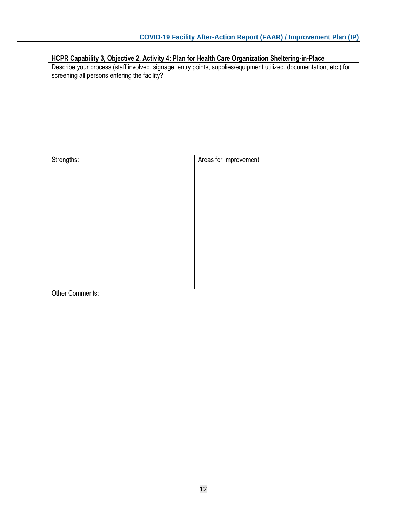|                                              | HCPR Capability 3, Objective 2, Activity 4: Plan for Health Care Organization Sheltering-in-Place                   |
|----------------------------------------------|---------------------------------------------------------------------------------------------------------------------|
|                                              | Describe your process (staff involved, signage, entry points, supplies/equipment utilized, documentation, etc.) for |
| screening all persons entering the facility? |                                                                                                                     |
|                                              |                                                                                                                     |
|                                              |                                                                                                                     |
|                                              |                                                                                                                     |
|                                              |                                                                                                                     |
|                                              |                                                                                                                     |
|                                              |                                                                                                                     |
|                                              |                                                                                                                     |
|                                              |                                                                                                                     |
| Strengths:                                   | Areas for Improvement:                                                                                              |
|                                              |                                                                                                                     |
|                                              |                                                                                                                     |
|                                              |                                                                                                                     |
|                                              |                                                                                                                     |
|                                              |                                                                                                                     |
|                                              |                                                                                                                     |
|                                              |                                                                                                                     |
|                                              |                                                                                                                     |
|                                              |                                                                                                                     |
|                                              |                                                                                                                     |
|                                              |                                                                                                                     |
|                                              |                                                                                                                     |
|                                              |                                                                                                                     |
|                                              |                                                                                                                     |
| Other Comments:                              |                                                                                                                     |
|                                              |                                                                                                                     |
|                                              |                                                                                                                     |
|                                              |                                                                                                                     |
|                                              |                                                                                                                     |
|                                              |                                                                                                                     |
|                                              |                                                                                                                     |
|                                              |                                                                                                                     |
|                                              |                                                                                                                     |
|                                              |                                                                                                                     |
|                                              |                                                                                                                     |
|                                              |                                                                                                                     |
|                                              |                                                                                                                     |
|                                              |                                                                                                                     |
|                                              |                                                                                                                     |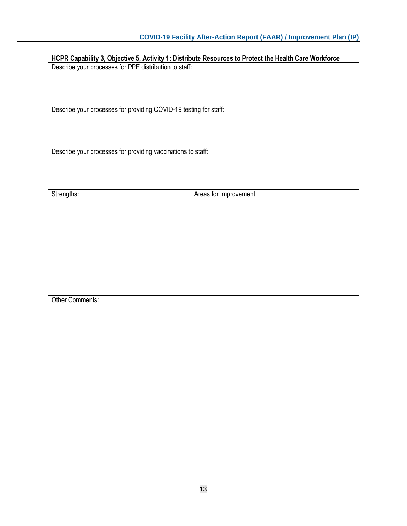|                                                                   | HCPR Capability 3, Objective 5, Activity 1: Distribute Resources to Protect the Health Care Workforce |
|-------------------------------------------------------------------|-------------------------------------------------------------------------------------------------------|
| Describe your processes for PPE distribution to staff:            |                                                                                                       |
|                                                                   |                                                                                                       |
|                                                                   |                                                                                                       |
|                                                                   |                                                                                                       |
|                                                                   |                                                                                                       |
|                                                                   |                                                                                                       |
|                                                                   |                                                                                                       |
| Describe your processes for providing COVID-19 testing for staff: |                                                                                                       |
|                                                                   |                                                                                                       |
|                                                                   |                                                                                                       |
|                                                                   |                                                                                                       |
|                                                                   |                                                                                                       |
|                                                                   |                                                                                                       |
| Describe your processes for providing vaccinations to staff:      |                                                                                                       |
|                                                                   |                                                                                                       |
|                                                                   |                                                                                                       |
|                                                                   |                                                                                                       |
|                                                                   |                                                                                                       |
|                                                                   |                                                                                                       |
|                                                                   |                                                                                                       |
| Strengths:                                                        | Areas for Improvement:                                                                                |
|                                                                   |                                                                                                       |
|                                                                   |                                                                                                       |
|                                                                   |                                                                                                       |
|                                                                   |                                                                                                       |
|                                                                   |                                                                                                       |
|                                                                   |                                                                                                       |
|                                                                   |                                                                                                       |
|                                                                   |                                                                                                       |
|                                                                   |                                                                                                       |
|                                                                   |                                                                                                       |
|                                                                   |                                                                                                       |
|                                                                   |                                                                                                       |
|                                                                   |                                                                                                       |
|                                                                   |                                                                                                       |
|                                                                   |                                                                                                       |
| <b>Other Comments:</b>                                            |                                                                                                       |
|                                                                   |                                                                                                       |
|                                                                   |                                                                                                       |
|                                                                   |                                                                                                       |
|                                                                   |                                                                                                       |
|                                                                   |                                                                                                       |
|                                                                   |                                                                                                       |
|                                                                   |                                                                                                       |
|                                                                   |                                                                                                       |
|                                                                   |                                                                                                       |
|                                                                   |                                                                                                       |
|                                                                   |                                                                                                       |
|                                                                   |                                                                                                       |
|                                                                   |                                                                                                       |
|                                                                   |                                                                                                       |
|                                                                   |                                                                                                       |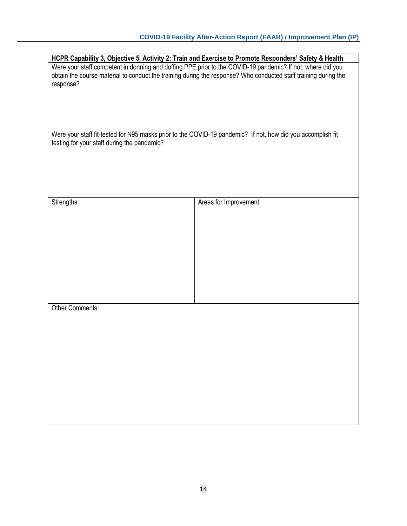| HCPR Capability 3, Objective 5, Activity 2: Train and Exercise to Promote Responders' Safety & Health                                                                                                                                      |                        |  |  |  |
|--------------------------------------------------------------------------------------------------------------------------------------------------------------------------------------------------------------------------------------------|------------------------|--|--|--|
| Were your staff competent in donning and doffing PPE prior to the COVID-19 pandemic? If not, where did you<br>obtain the course material to conduct the training during the response? Who conducted staff training during the<br>response? |                        |  |  |  |
| Were your staff fit-tested for N95 masks prior to the COVID-19 pandemic? If not, how did you accomplish fit<br>testing for your staff during the pandemic?                                                                                 |                        |  |  |  |
| Strengths:                                                                                                                                                                                                                                 | Areas for Improvement: |  |  |  |
| Other Comments:                                                                                                                                                                                                                            |                        |  |  |  |
|                                                                                                                                                                                                                                            |                        |  |  |  |
|                                                                                                                                                                                                                                            |                        |  |  |  |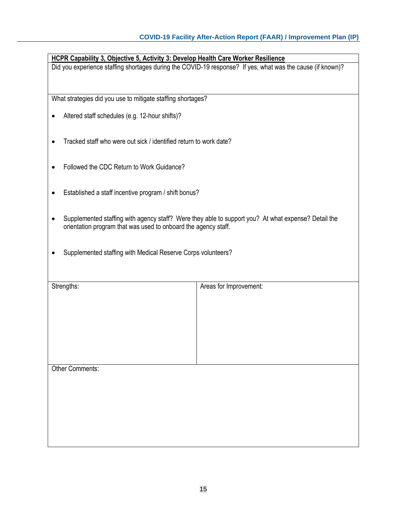| HCPR Capability 3, Objective 5, Activity 3: Develop Health Care Worker Resilience<br>Did you experience staffing shortages during the COVID-19 response? If yes, what was the cause (if known)? |                        |  |  |
|-------------------------------------------------------------------------------------------------------------------------------------------------------------------------------------------------|------------------------|--|--|
| What strategies did you use to mitigate staffing shortages?                                                                                                                                     |                        |  |  |
| Altered staff schedules (e.g. 12-hour shifts)?                                                                                                                                                  |                        |  |  |
| Tracked staff who were out sick / identified return to work date?                                                                                                                               |                        |  |  |
| Followed the CDC Return to Work Guidance?                                                                                                                                                       |                        |  |  |
| Established a staff incentive program / shift bonus?                                                                                                                                            |                        |  |  |
| Supplemented staffing with agency staff? Were they able to support you? At what expense? Detail the<br>orientation program that was used to onboard the agency staff.                           |                        |  |  |
| Supplemented staffing with Medical Reserve Corps volunteers?                                                                                                                                    |                        |  |  |
| Strengths:                                                                                                                                                                                      | Areas for Improvement: |  |  |
|                                                                                                                                                                                                 |                        |  |  |
|                                                                                                                                                                                                 |                        |  |  |
|                                                                                                                                                                                                 |                        |  |  |
|                                                                                                                                                                                                 |                        |  |  |
|                                                                                                                                                                                                 |                        |  |  |
| <b>Other Comments:</b>                                                                                                                                                                          |                        |  |  |
|                                                                                                                                                                                                 |                        |  |  |
|                                                                                                                                                                                                 |                        |  |  |
|                                                                                                                                                                                                 |                        |  |  |
|                                                                                                                                                                                                 |                        |  |  |
|                                                                                                                                                                                                 |                        |  |  |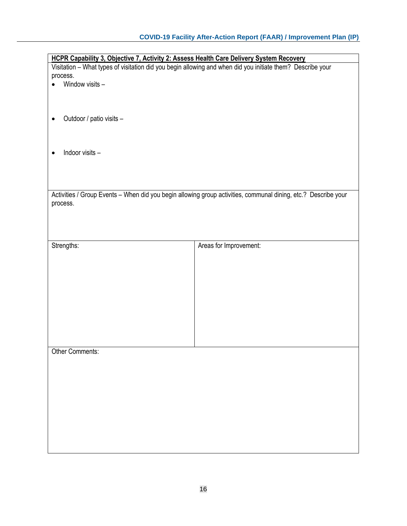| HCPR Capability 3, Objective 7, Activity 2: Assess Health Care Delivery System Recovery                    |                                                                                                                |  |  |  |
|------------------------------------------------------------------------------------------------------------|----------------------------------------------------------------------------------------------------------------|--|--|--|
| Visitation - What types of visitation did you begin allowing and when did you initiate them? Describe your |                                                                                                                |  |  |  |
| process.                                                                                                   |                                                                                                                |  |  |  |
| Window visits -                                                                                            |                                                                                                                |  |  |  |
|                                                                                                            |                                                                                                                |  |  |  |
|                                                                                                            |                                                                                                                |  |  |  |
|                                                                                                            |                                                                                                                |  |  |  |
| Outdoor / patio visits -                                                                                   |                                                                                                                |  |  |  |
|                                                                                                            |                                                                                                                |  |  |  |
|                                                                                                            |                                                                                                                |  |  |  |
|                                                                                                            |                                                                                                                |  |  |  |
| Indoor visits -                                                                                            |                                                                                                                |  |  |  |
|                                                                                                            |                                                                                                                |  |  |  |
|                                                                                                            |                                                                                                                |  |  |  |
|                                                                                                            |                                                                                                                |  |  |  |
|                                                                                                            |                                                                                                                |  |  |  |
|                                                                                                            |                                                                                                                |  |  |  |
|                                                                                                            | Activities / Group Events - When did you begin allowing group activities, communal dining, etc.? Describe your |  |  |  |
| process.                                                                                                   |                                                                                                                |  |  |  |
|                                                                                                            |                                                                                                                |  |  |  |
|                                                                                                            |                                                                                                                |  |  |  |
|                                                                                                            |                                                                                                                |  |  |  |
|                                                                                                            |                                                                                                                |  |  |  |
| Strengths:                                                                                                 | Areas for Improvement:                                                                                         |  |  |  |
|                                                                                                            |                                                                                                                |  |  |  |
|                                                                                                            |                                                                                                                |  |  |  |
|                                                                                                            |                                                                                                                |  |  |  |
|                                                                                                            |                                                                                                                |  |  |  |
|                                                                                                            |                                                                                                                |  |  |  |
|                                                                                                            |                                                                                                                |  |  |  |
|                                                                                                            |                                                                                                                |  |  |  |
|                                                                                                            |                                                                                                                |  |  |  |
|                                                                                                            |                                                                                                                |  |  |  |
|                                                                                                            |                                                                                                                |  |  |  |
|                                                                                                            |                                                                                                                |  |  |  |
|                                                                                                            |                                                                                                                |  |  |  |
|                                                                                                            |                                                                                                                |  |  |  |
| <b>Other Comments:</b>                                                                                     |                                                                                                                |  |  |  |
|                                                                                                            |                                                                                                                |  |  |  |
|                                                                                                            |                                                                                                                |  |  |  |
|                                                                                                            |                                                                                                                |  |  |  |
|                                                                                                            |                                                                                                                |  |  |  |
|                                                                                                            |                                                                                                                |  |  |  |
|                                                                                                            |                                                                                                                |  |  |  |
|                                                                                                            |                                                                                                                |  |  |  |
|                                                                                                            |                                                                                                                |  |  |  |
|                                                                                                            |                                                                                                                |  |  |  |
|                                                                                                            |                                                                                                                |  |  |  |
|                                                                                                            |                                                                                                                |  |  |  |
|                                                                                                            |                                                                                                                |  |  |  |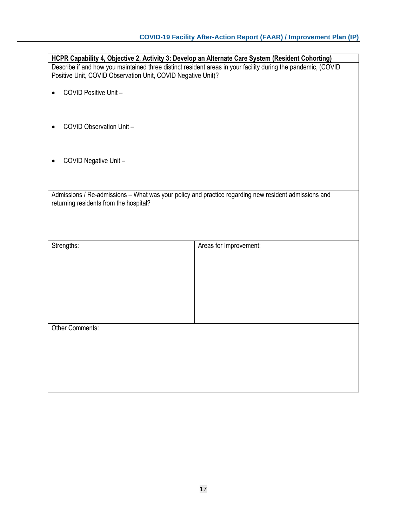| HCPR Capability 4, Objective 2, Activity 3: Develop an Alternate Care System (Resident Cohorting)                                                                             |                        |  |
|-------------------------------------------------------------------------------------------------------------------------------------------------------------------------------|------------------------|--|
| Describe if and how you maintained three distinct resident areas in your facility during the pandemic, (COVID<br>Positive Unit, COVID Observation Unit, COVID Negative Unit)? |                        |  |
|                                                                                                                                                                               |                        |  |
| COVID Positive Unit-                                                                                                                                                          |                        |  |
|                                                                                                                                                                               |                        |  |
|                                                                                                                                                                               |                        |  |
| COVID Observation Unit -                                                                                                                                                      |                        |  |
|                                                                                                                                                                               |                        |  |
|                                                                                                                                                                               |                        |  |
| COVID Negative Unit -                                                                                                                                                         |                        |  |
|                                                                                                                                                                               |                        |  |
|                                                                                                                                                                               |                        |  |
| Admissions / Re-admissions - What was your policy and practice regarding new resident admissions and                                                                          |                        |  |
| returning residents from the hospital?                                                                                                                                        |                        |  |
|                                                                                                                                                                               |                        |  |
|                                                                                                                                                                               |                        |  |
|                                                                                                                                                                               |                        |  |
| Strengths:                                                                                                                                                                    | Areas for Improvement: |  |
|                                                                                                                                                                               |                        |  |
|                                                                                                                                                                               |                        |  |
|                                                                                                                                                                               |                        |  |
|                                                                                                                                                                               |                        |  |
|                                                                                                                                                                               |                        |  |
|                                                                                                                                                                               |                        |  |
| <b>Other Comments:</b>                                                                                                                                                        |                        |  |
|                                                                                                                                                                               |                        |  |
|                                                                                                                                                                               |                        |  |
|                                                                                                                                                                               |                        |  |
|                                                                                                                                                                               |                        |  |
|                                                                                                                                                                               |                        |  |
|                                                                                                                                                                               |                        |  |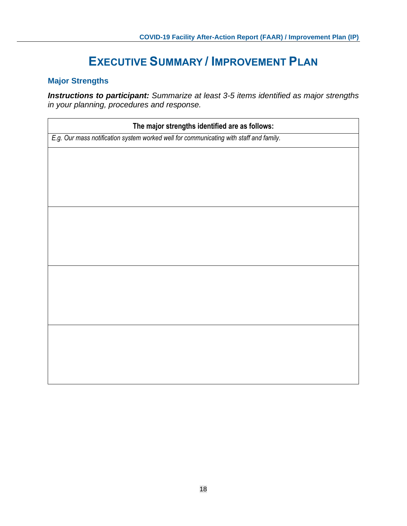## **EXECUTIVE SUMMARY / IMPROVEMENT PLAN**

### **Major Strengths**

*Instructions to participant: Summarize at least 3-5 items identified as major strengths in your planning, procedures and response.*

| The major strengths identified are as follows:                                         |  |  |
|----------------------------------------------------------------------------------------|--|--|
| E.g. Our mass notification system worked well for communicating with staff and family. |  |  |
|                                                                                        |  |  |
|                                                                                        |  |  |
|                                                                                        |  |  |
|                                                                                        |  |  |
|                                                                                        |  |  |
|                                                                                        |  |  |
|                                                                                        |  |  |
|                                                                                        |  |  |
|                                                                                        |  |  |
|                                                                                        |  |  |
|                                                                                        |  |  |
|                                                                                        |  |  |
|                                                                                        |  |  |
|                                                                                        |  |  |
|                                                                                        |  |  |
|                                                                                        |  |  |
|                                                                                        |  |  |